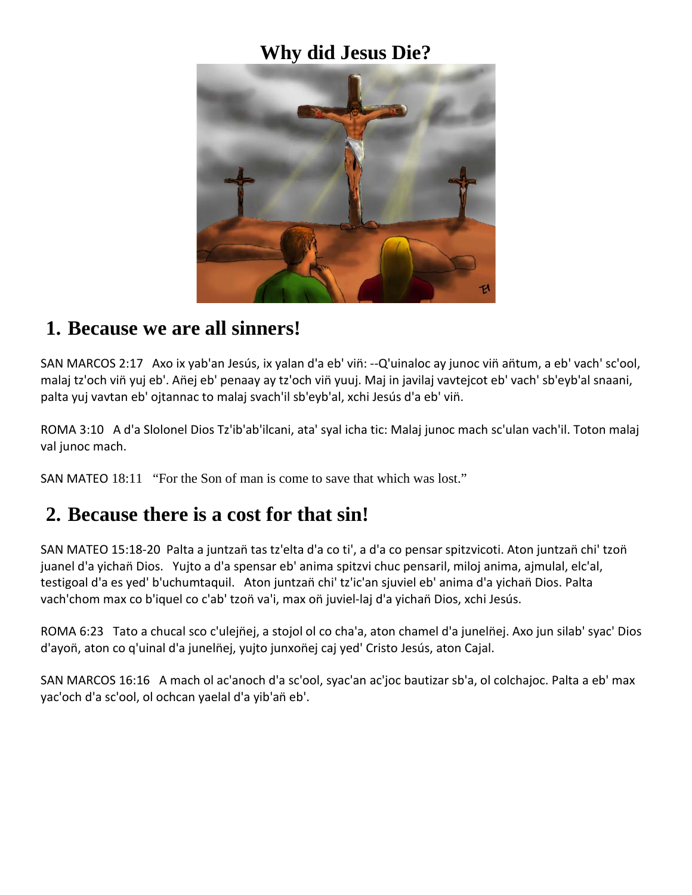## **Why did Jesus Die?**



### **1. Because we are all sinners!**

SAN MARCOS 2:17 Axo ix yab'an Jesús, ix yalan d'a eb' viñ: --Q'uinaloc ay junoc viñ añtum, a eb' vach' sc'ool, malaj tz'och vin̈ yuj eb'. An̈ej eb' penaay ay tz'och vin̈ yuuj. Maj in javilaj vavtejcot eb' vach' sb'eyb'al snaani, palta yuj vavtan eb' ojtannac to malaj svach'il sb'eyb'al, xchi Jesús d'a eb' vin̈.

ROMA 3:10 A d'a Slolonel Dios Tz'ib'ab'ilcani, ata' syal icha tic: Malaj junoc mach sc'ulan vach'il. Toton malaj val junoc mach.

SAN MATEO 18:11 "For the Son of man is come to save that which was lost."

### **2. Because there is a cost for that sin!**

SAN MATEO 15:18-20 Palta a juntzañ tas tz'elta d'a co ti', a d'a co pensar spitzvicoti. Aton juntzañ chi' tzoñ juanel d'a yichañ Dios. Yujto a d'a spensar eb' anima spitzvi chuc pensaril, miloj anima, ajmulal, elc'al, testigoal d'a es yed' b'uchumtaquil. Aton juntzañ chi' tz'ic'an sjuviel eb' anima d'a yichañ Dios. Palta vach'chom max co b'iquel co c'ab' tzoñ va'i, max oñ juviel-laj d'a yichañ Dios, xchi Jesús.

ROMA 6:23 Tato a chucal sco c'ulejn̈ej, a stojol ol co cha'a, aton chamel d'a juneln̈ej. Axo jun silab' syac' Dios d'ayon̈, aton co q'uinal d'a juneln̈ej, yujto junxon̈ej caj yed' Cristo Jesús, aton Cajal.

SAN MARCOS 16:16 A mach ol ac'anoch d'a sc'ool, syac'an ac'joc bautizar sb'a, ol colchajoc. Palta a eb' max yac'och d'a sc'ool, ol ochcan yaelal d'a yib'añ eb'.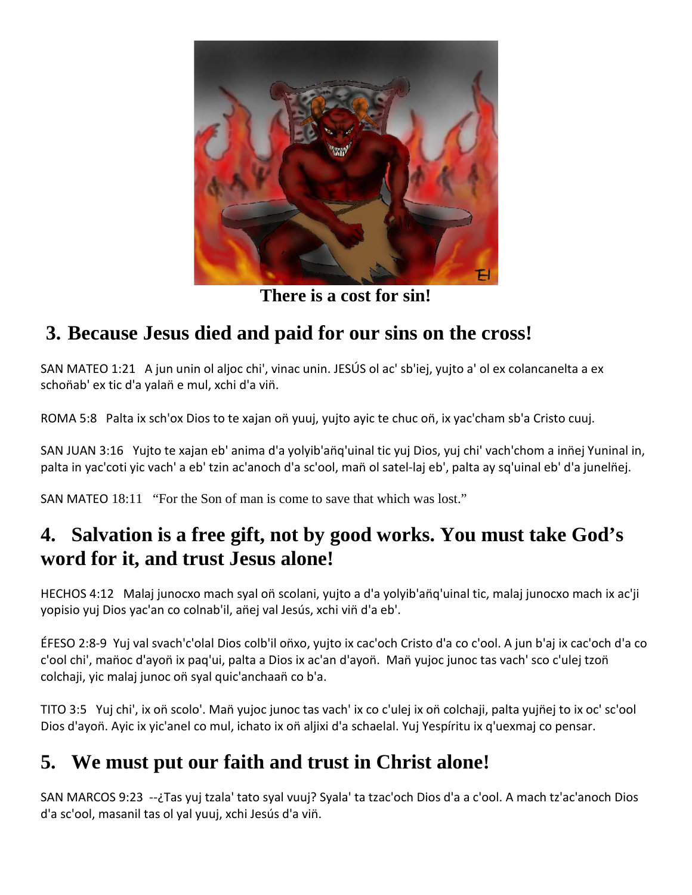

**There is a cost for sin!**

## **3. Because Jesus died and paid for our sins on the cross!**

SAN MATEO 1:21 A jun unin ol aljoc chi', vinac unin. JESÚS ol ac' sb'iej, yujto a' ol ex colancanelta a ex schoñab' ex tic d'a yalañ e mul, xchi d'a viñ.

ROMA 5:8 Palta ix sch'ox Dios to te xajan oñ yuuj, yujto ayic te chuc oñ, ix yac'cham sb'a Cristo cuuj.

SAN JUAN 3:16 Yujto te xajan eb' anima d'a yolyib'an̈q'uinal tic yuj Dios, yuj chi' vach'chom a inn̈ej Yuninal in, palta in yac'coti yic vach' a eb' tzin ac'anoch d'a sc'ool, mañ ol satel-laj eb', palta ay sq'uinal eb' d'a junelñej.

SAN MATEO 18:11 "For the Son of man is come to save that which was lost."

## **4. Salvation is a free gift, not by good works. You must take God's word for it, and trust Jesus alone!**

HECHOS 4:12 Malaj junocxo mach syal oñ scolani, yujto a d'a yolyib'añq'uinal tic, malaj junocxo mach ix ac'ji yopisio yuj Dios yac'an co colnab'il, an̈ej val Jesús, xchi vin̈ d'a eb'.

ÉFESO 2:8-9 Yuj val svach'c'olal Dios colb'il on̈xo, yujto ix cac'och Cristo d'a co c'ool. A jun b'aj ix cac'och d'a co c'ool chi', mañoc d'ayoñ ix paq'ui, palta a Dios ix ac'an d'ayoñ. Mañ yujoc junoc tas vach' sco c'ulej tzoñ colchaji, yic malaj junoc oñ syal quic'anchaañ co b'a.

TITO 3:5 Yuj chi', ix on̈ scolo'. Man̈ yujoc junoc tas vach' ix co c'ulej ix on̈ colchaji, palta yujn̈ej to ix oc' sc'ool Dios d'ayoñ. Ayic ix yic'anel co mul, ichato ix oñ aljixi d'a schaelal. Yuj Yespíritu ix q'uexmaj co pensar.

# **5. We must put our faith and trust in Christ alone!**

SAN MARCOS 9:23 --¿Tas yuj tzala' tato syal vuuj? Syala' ta tzac'och Dios d'a a c'ool. A mach tz'ac'anoch Dios d'a sc'ool, masanil tas ol yal yuuj, xchi Jesús d'a vin̈.